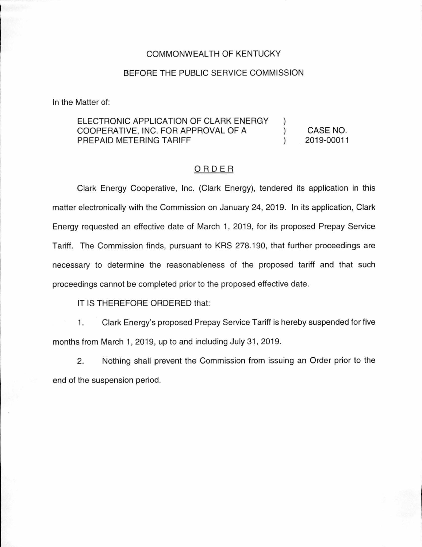## COMMONWEALTH OF KENTUCKY

## BEFORE THE PUBLIC SERVICE COMMISSION

In the Matter of:

## ELECTRONIC APPLICATION OF CLARK ENERGY COOPERATIVE, INC. FOR APPROVAL OF A ) PREPAID METERING TARIFF ) CASE NO. 2019-00011

## ORDER

Clark Energy Cooperative, Inc. (Clark Energy), tendered its application in this matter electronically with the Commission on January 24, 2019. In its application, Clark Energy requested an effective date of March 1, 2019, for its proposed Prepay Service Tariff. The Commission finds, pursuant to KRS 278.190, that further proceedings are necessary to determine the reasonableness of the proposed tariff and that such proceedings cannot be completed prior to the proposed effective date.

IT IS THEREFORE ORDERED that:

1. Clark Energy's proposed Prepay Service Tariff is hereby suspended for five months from March 1, 2019, up to and including July 31, 2019.

2. Nothing shall prevent the Commission from issuing an Order prior to the end of the suspension period.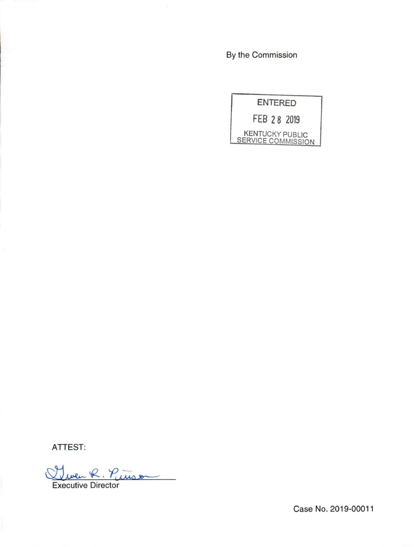By the Commission



ATTEST:

Then R. Pinson

Case No. 2019-00011